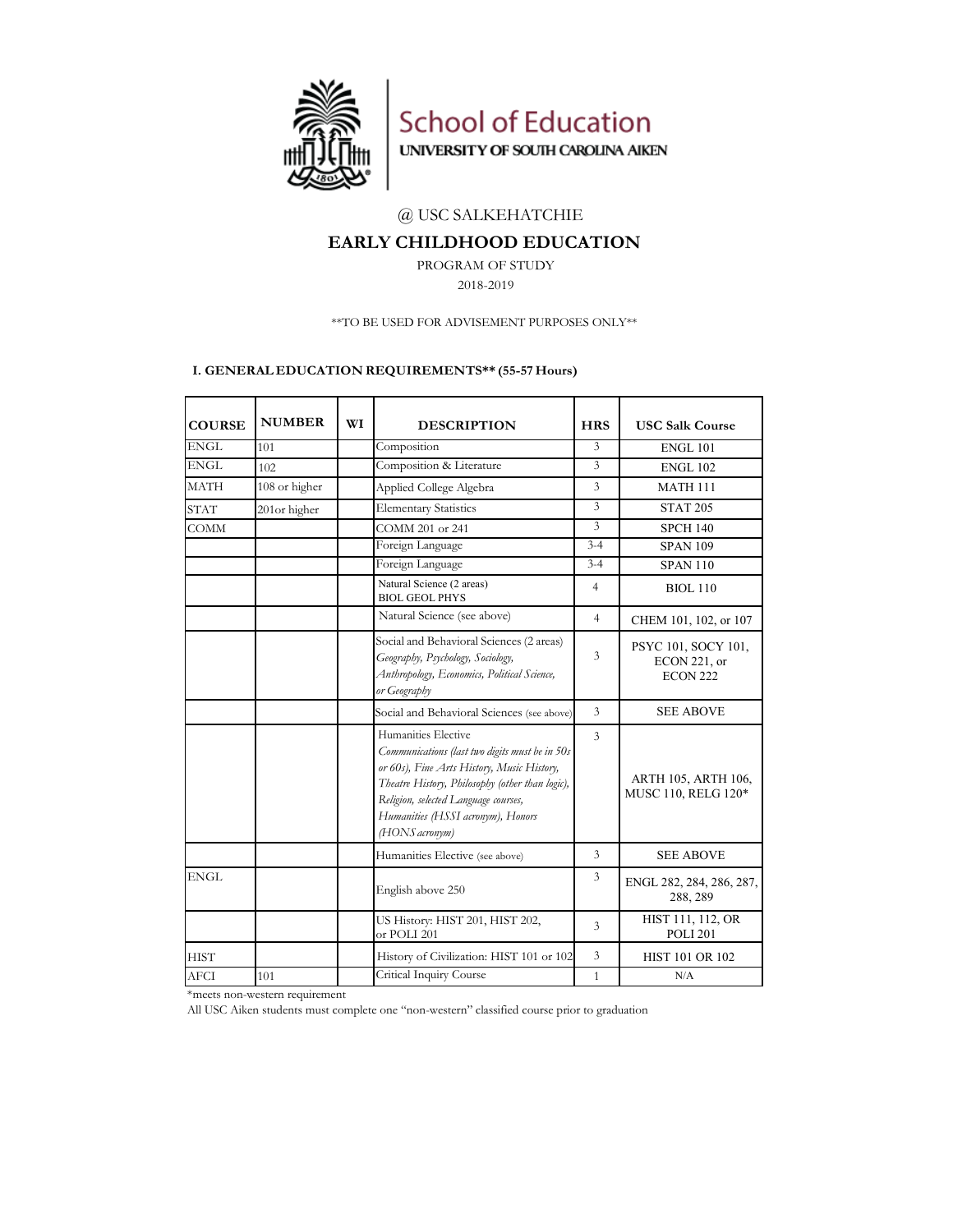

School of Education UNIVERSITY OF SOUTH CAROLINA AIKEN

## @ USC SALKEHATCHIE

## **EARLY CHILDHOOD EDUCATION**

PROGRAM OF STUDY

2018-2019

## \*\*TO BE USED FOR ADVISEMENT PURPOSES ONLY\*\*

#### **I. GENERAL EDUCATION REQUIREMENTS\*\* (55-57 Hours)**

| <b>COURSE</b> | <b>NUMBER</b> | WI | <b>DESCRIPTION</b>                                                                                                                                                                                                                                                    | <b>HRS</b>     | <b>USC Salk Course</b>                                        |  |  |
|---------------|---------------|----|-----------------------------------------------------------------------------------------------------------------------------------------------------------------------------------------------------------------------------------------------------------------------|----------------|---------------------------------------------------------------|--|--|
| <b>ENGL</b>   | 101           |    | Composition                                                                                                                                                                                                                                                           | $\overline{3}$ | <b>ENGL 101</b>                                               |  |  |
| <b>ENGL</b>   | 102           |    | Composition & Literature                                                                                                                                                                                                                                              | 3              | <b>ENGL 102</b>                                               |  |  |
| <b>MATH</b>   | 108 or higher |    | Applied College Algebra                                                                                                                                                                                                                                               | 3              | <b>MATH 111</b>                                               |  |  |
| <b>STAT</b>   | 201or higher  |    | <b>Elementary Statistics</b>                                                                                                                                                                                                                                          | 3              | <b>STAT 205</b>                                               |  |  |
| <b>COMM</b>   |               |    | COMM 201 or 241                                                                                                                                                                                                                                                       | $\overline{3}$ | <b>SPCH 140</b>                                               |  |  |
|               |               |    | Foreign Language                                                                                                                                                                                                                                                      | $3 - 4$        | <b>SPAN 109</b>                                               |  |  |
|               |               |    | Foreign Language                                                                                                                                                                                                                                                      | $3 - 4$        | <b>SPAN 110</b>                                               |  |  |
|               |               |    | Natural Science (2 areas)<br><b>BIOL GEOL PHYS</b>                                                                                                                                                                                                                    | 4              | <b>BIOL 110</b>                                               |  |  |
|               |               |    | Natural Science (see above)                                                                                                                                                                                                                                           | $\overline{4}$ | CHEM 101, 102, or 107                                         |  |  |
|               |               |    | Social and Behavioral Sciences (2 areas)<br>Geography, Psychology, Sociology,<br>Anthropology, Economics, Political Science,<br>or Geography                                                                                                                          | 3              | PSYC 101, SOCY 101,<br><b>ECON 221, or</b><br><b>ECON 222</b> |  |  |
|               |               |    | Social and Behavioral Sciences (see above)                                                                                                                                                                                                                            | $\overline{3}$ | <b>SEE ABOVE</b>                                              |  |  |
|               |               |    | Humanities Elective<br>Communications (last two digits must be in 50s<br>or 60s), Fine Arts History, Music History,<br>Theatre History, Philosophy (other than logic),<br>Religion, selected Language courses,<br>Humanities (HSSI acronym), Honors<br>(HONS acronym) | $\overline{3}$ | ARTH 105, ARTH 106,<br>MUSC 110, RELG 120*                    |  |  |
|               |               |    | Humanities Elective (see above)                                                                                                                                                                                                                                       | 3              | <b>SEE ABOVE</b>                                              |  |  |
| <b>ENGL</b>   |               |    | English above 250                                                                                                                                                                                                                                                     | 3              | ENGL 282, 284, 286, 287,<br>288, 289                          |  |  |
|               |               |    | US History: HIST 201, HIST 202,<br>or POLI 201                                                                                                                                                                                                                        | $\overline{3}$ | HIST 111, 112, OR<br><b>POLI 201</b>                          |  |  |
| <b>HIST</b>   |               |    | History of Civilization: HIST 101 or 102                                                                                                                                                                                                                              | 3              | <b>HIST 101 OR 102</b>                                        |  |  |
| <b>AFCI</b>   | 101           |    | Critical Inquiry Course                                                                                                                                                                                                                                               | $\mathbf{1}$   | N/A                                                           |  |  |

\*meets non-western requirement

All USC Aiken students must complete one "non-western" classified course prior to graduation